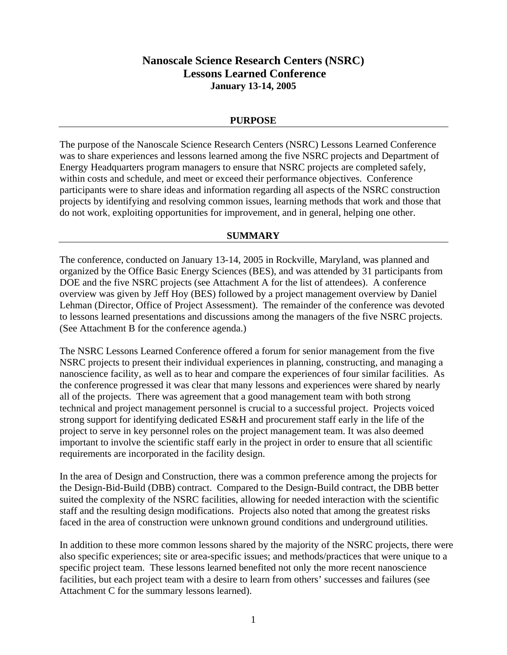## **Nanoscale Science Research Centers (NSRC) Lessons Learned Conference January 13-14, 2005**

### **PURPOSE**

The purpose of the Nanoscale Science Research Centers (NSRC) Lessons Learned Conference was to share experiences and lessons learned among the five NSRC projects and Department of Energy Headquarters program managers to ensure that NSRC projects are completed safely, within costs and schedule, and meet or exceed their performance objectives. Conference participants were to share ideas and information regarding all aspects of the NSRC construction projects by identifying and resolving common issues, learning methods that work and those that do not work, exploiting opportunities for improvement, and in general, helping one other.

#### **SUMMARY**

The conference, conducted on January 13-14, 2005 in Rockville, Maryland, was planned and organized by the Office Basic Energy Sciences (BES), and was attended by 31 participants from DOE and the five NSRC projects (see Attachment A for the list of attendees). A conference overview was given by Jeff Hoy (BES) followed by a project management overview by Daniel Lehman (Director, Office of Project Assessment). The remainder of the conference was devoted to lessons learned presentations and discussions among the managers of the five NSRC projects. (See Attachment B for the conference agenda.)

The NSRC Lessons Learned Conference offered a forum for senior management from the five NSRC projects to present their individual experiences in planning, constructing, and managing a nanoscience facility, as well as to hear and compare the experiences of four similar facilities. As the conference progressed it was clear that many lessons and experiences were shared by nearly all of the projects. There was agreement that a good management team with both strong technical and project management personnel is crucial to a successful project. Projects voiced strong support for identifying dedicated ES&H and procurement staff early in the life of the project to serve in key personnel roles on the project management team. It was also deemed important to involve the scientific staff early in the project in order to ensure that all scientific requirements are incorporated in the facility design.

In the area of Design and Construction, there was a common preference among the projects for the Design-Bid-Build (DBB) contract. Compared to the Design-Build contract, the DBB better suited the complexity of the NSRC facilities, allowing for needed interaction with the scientific staff and the resulting design modifications. Projects also noted that among the greatest risks faced in the area of construction were unknown ground conditions and underground utilities.

In addition to these more common lessons shared by the majority of the NSRC projects, there were also specific experiences; site or area-specific issues; and methods/practices that were unique to a specific project team. These lessons learned benefited not only the more recent nanoscience facilities, but each project team with a desire to learn from others' successes and failures (see Attachment C for the summary lessons learned).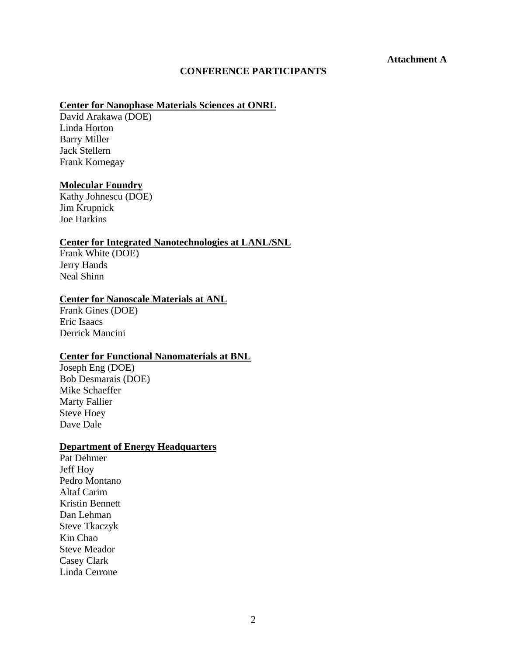### **CONFERENCE PARTICIPANTS**

# **Center for Nanophase Materials Sciences at ONRL**

David Arakawa (DOE) Linda Horton Barry Miller Jack Stellern Frank Kornegay

#### **Molecular Foundry**

Kathy Johnescu (DOE) Jim Krupnick Joe Harkins

### **Center for Integrated Nanotechnologies at LANL/SNL**

Frank White (DOE) Jerry Hands Neal Shinn

### **Center for Nanoscale Materials at ANL**

Frank Gines (DOE) Eric Isaacs Derrick Mancini

### **Center for Functional Nanomaterials at BNL**

Joseph Eng (DOE) Bob Desmarais (DOE) Mike Schaeffer Marty Fallier Steve Hoey Dave Dale

### **Department of Energy Headquarters**

Pat Dehmer Jeff Hoy Pedro Montano Altaf Carim Kristin Bennett Dan Lehman Steve Tkaczyk Kin Chao Steve Meador Casey Clark Linda Cerrone

**Attachment A**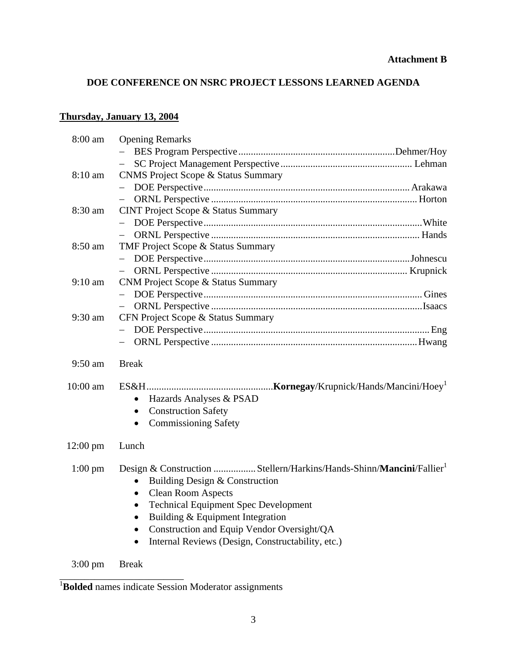## **DOE CONFERENCE ON NSRC PROJECT LESSONS LEARNED AGENDA**

## **Thursday, January 13, 2004**

| 8:00 am            | <b>Opening Remarks</b>                                                                                                                                                                                                                                                                                                                                                                         |
|--------------------|------------------------------------------------------------------------------------------------------------------------------------------------------------------------------------------------------------------------------------------------------------------------------------------------------------------------------------------------------------------------------------------------|
|                    |                                                                                                                                                                                                                                                                                                                                                                                                |
|                    |                                                                                                                                                                                                                                                                                                                                                                                                |
| $8:10$ am          | <b>CNMS Project Scope &amp; Status Summary</b>                                                                                                                                                                                                                                                                                                                                                 |
|                    |                                                                                                                                                                                                                                                                                                                                                                                                |
|                    |                                                                                                                                                                                                                                                                                                                                                                                                |
| 8:30 am            | <b>CINT Project Scope &amp; Status Summary</b>                                                                                                                                                                                                                                                                                                                                                 |
|                    |                                                                                                                                                                                                                                                                                                                                                                                                |
|                    |                                                                                                                                                                                                                                                                                                                                                                                                |
| 8:50 am            | TMF Project Scope & Status Summary                                                                                                                                                                                                                                                                                                                                                             |
|                    |                                                                                                                                                                                                                                                                                                                                                                                                |
|                    |                                                                                                                                                                                                                                                                                                                                                                                                |
| $9:10$ am          | CNM Project Scope & Status Summary                                                                                                                                                                                                                                                                                                                                                             |
|                    |                                                                                                                                                                                                                                                                                                                                                                                                |
|                    | $\overline{\phantom{m}}$                                                                                                                                                                                                                                                                                                                                                                       |
| $9:30$ am          | CFN Project Scope & Status Summary                                                                                                                                                                                                                                                                                                                                                             |
|                    |                                                                                                                                                                                                                                                                                                                                                                                                |
|                    |                                                                                                                                                                                                                                                                                                                                                                                                |
| $9:50$ am          | <b>Break</b>                                                                                                                                                                                                                                                                                                                                                                                   |
| 10:00 am           | Hazards Analyses & PSAD<br>$\bullet$<br><b>Construction Safety</b><br>$\bullet$<br><b>Commissioning Safety</b>                                                                                                                                                                                                                                                                                 |
| $12:00 \text{ pm}$ | Lunch                                                                                                                                                                                                                                                                                                                                                                                          |
| $1:00 \text{ pm}$  | Design & Construction  Stellern/Harkins/Hands-Shinn/Mancini/Fallier <sup>1</sup><br>Building Design & Construction<br>$\bullet$<br><b>Clean Room Aspects</b><br>$\bullet$<br><b>Technical Equipment Spec Development</b><br>Building & Equipment Integration<br>$\bullet$<br>Construction and Equip Vendor Oversight/QA<br>٠<br>Internal Reviews (Design, Constructability, etc.)<br>$\bullet$ |
| $3:00 \text{ pm}$  | <b>Break</b>                                                                                                                                                                                                                                                                                                                                                                                   |

<sup>&</sup>lt;sup>1</sup>**Bolded** names indicate Session Moderator assignments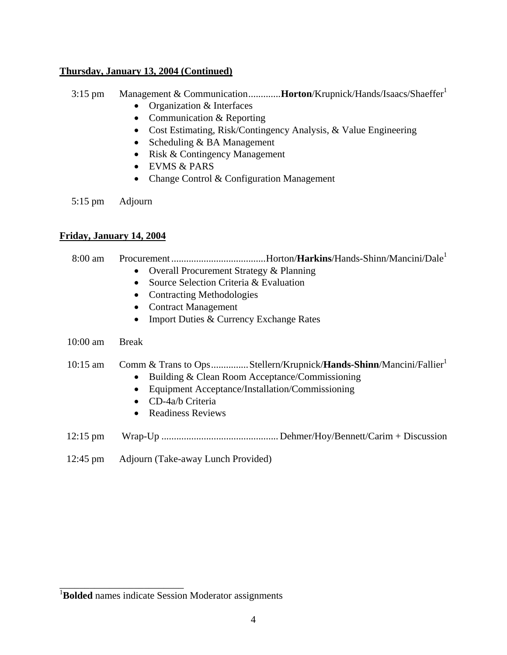### **Thursday, January 13, 2004 (Continued)**

- 3:15 pm Management & Communication.............**Horton**/Krupnick/Hands/Isaacs/Shaeffer<sup>1</sup>
	- Organization & Interfaces
	- Communication & Reporting
	- Cost Estimating, Risk/Contingency Analysis, & Value Engineering
	- Scheduling & BA Management
	- Risk & Contingency Management
	- EVMS & PARS
	- Change Control & Configuration Management

5:15 pm Adjourn

### **Friday, January 14, 2004**

8:00 am Procurement ......................................Horton/**Harkins**/Hands-Shinn/Mancini/Dale<sup>1</sup>

- Overall Procurement Strategy & Planning
- Source Selection Criteria & Evaluation
- Contracting Methodologies
- Contract Management
- Import Duties & Currency Exchange Rates

### 10:00 am Break

### 10:15 am Comm & Trans to Ops...............Stellern/Krupnick/**Hands-Shinn**/Mancini/Fallier1

- Building & Clean Room Acceptance/Commissioning
- Equipment Acceptance/Installation/Commissioning
- CD-4a/b Criteria
- Readiness Reviews
- 12:15 pm Wrap-Up ............................................... Dehmer/Hoy/Bennett/Carim + Discussion
- 12:45 pm Adjourn (Take-away Lunch Provided)

\_\_\_\_\_\_\_\_\_\_\_\_\_\_\_\_\_\_\_\_\_\_\_\_\_

<sup>&</sup>lt;sup>1</sup>Bolded names indicate Session Moderator assignments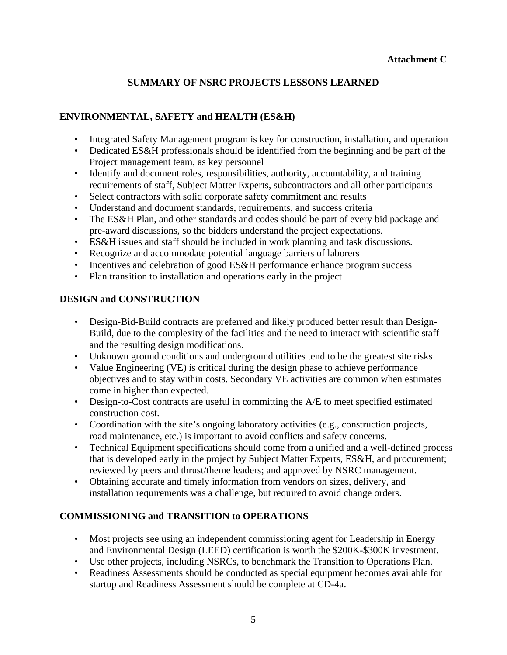### **Attachment C**

## **SUMMARY OF NSRC PROJECTS LESSONS LEARNED**

## **ENVIRONMENTAL, SAFETY and HEALTH (ES&H)**

- Integrated Safety Management program is key for construction, installation, and operation
- Dedicated ES&H professionals should be identified from the beginning and be part of the Project management team, as key personnel
- Identify and document roles, responsibilities, authority, accountability, and training requirements of staff, Subject Matter Experts, subcontractors and all other participants
- Select contractors with solid corporate safety commitment and results
- Understand and document standards, requirements, and success criteria
- The ES&H Plan, and other standards and codes should be part of every bid package and pre-award discussions, so the bidders understand the project expectations.
- ES&H issues and staff should be included in work planning and task discussions.
- Recognize and accommodate potential language barriers of laborers
- Incentives and celebration of good ES&H performance enhance program success
- Plan transition to installation and operations early in the project

## **DESIGN and CONSTRUCTION**

- Design-Bid-Build contracts are preferred and likely produced better result than Design-Build, due to the complexity of the facilities and the need to interact with scientific staff and the resulting design modifications.
- Unknown ground conditions and underground utilities tend to be the greatest site risks
- Value Engineering (VE) is critical during the design phase to achieve performance objectives and to stay within costs. Secondary VE activities are common when estimates come in higher than expected.
- Design-to-Cost contracts are useful in committing the A/E to meet specified estimated construction cost.
- Coordination with the site's ongoing laboratory activities (e.g., construction projects, road maintenance, etc.) is important to avoid conflicts and safety concerns.
- Technical Equipment specifications should come from a unified and a well-defined process that is developed early in the project by Subject Matter Experts, ES&H, and procurement; reviewed by peers and thrust/theme leaders; and approved by NSRC management.
- Obtaining accurate and timely information from vendors on sizes, delivery, and installation requirements was a challenge, but required to avoid change orders.

## **COMMISSIONING and TRANSITION to OPERATIONS**

- Most projects see using an independent commissioning agent for Leadership in Energy and Environmental Design (LEED) certification is worth the \$200K-\$300K investment.
- Use other projects, including NSRCs, to benchmark the Transition to Operations Plan.
- Readiness Assessments should be conducted as special equipment becomes available for startup and Readiness Assessment should be complete at CD-4a.